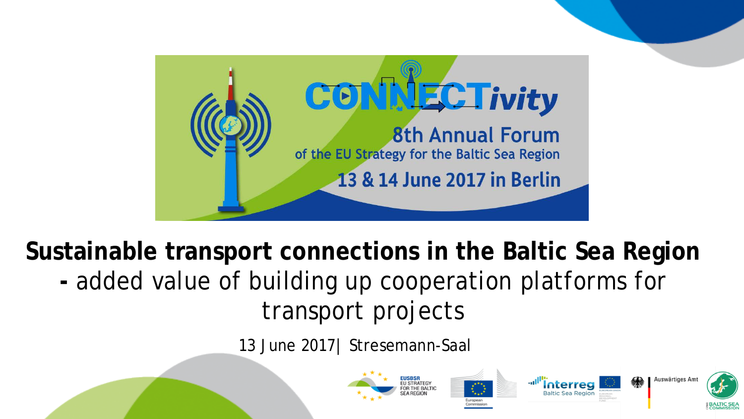

**Sustainable transport connections in the Baltic Sea Region -** added value of building up cooperation platforms for transport projects

13 June 2017| Stresemann-Saal



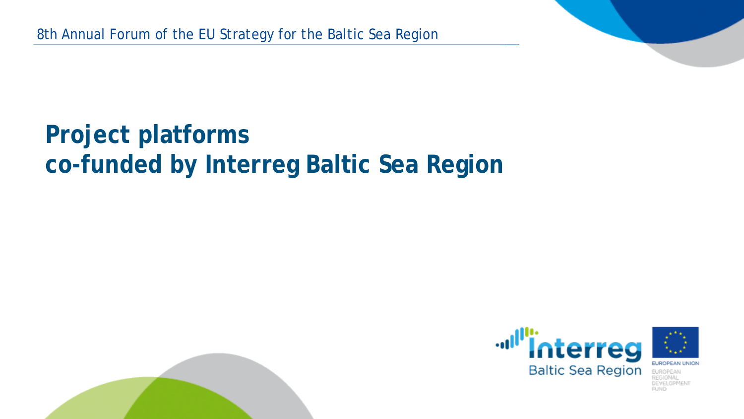## **Project platforms co-funded by Interreg Baltic Sea Region**



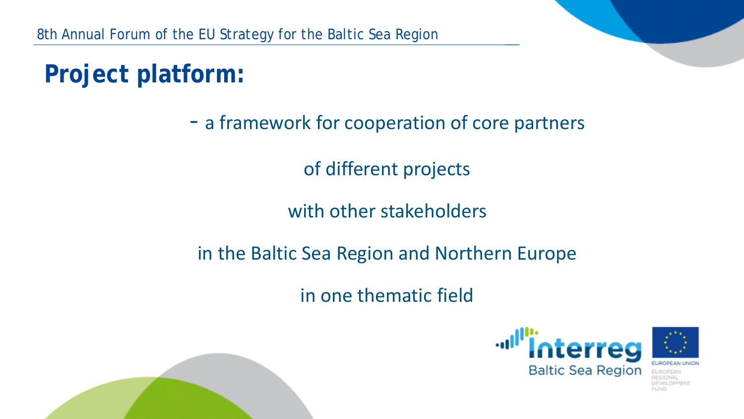# **Project platform:**

#### - a framework for cooperation of core partners

of different projects

with other stakeholders

in the Baltic Sea Region and Northern Europe

in one thematic field



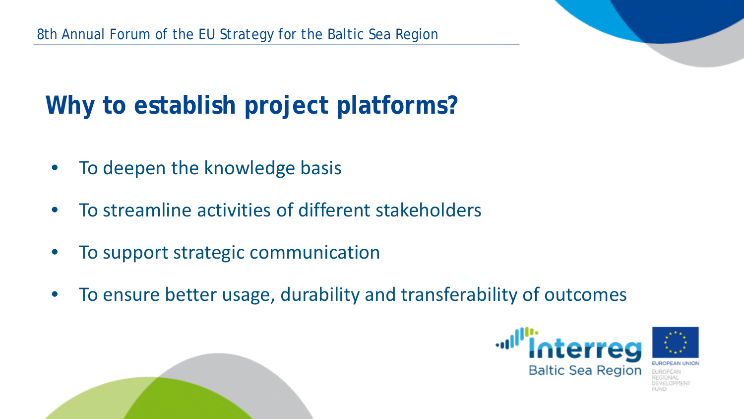# **Why to establish project platforms?**

- To deepen the knowledge basis
- To streamline activities of different stakeholders
- To support strategic communication
- To ensure better usage, durability and transferability of outcomes



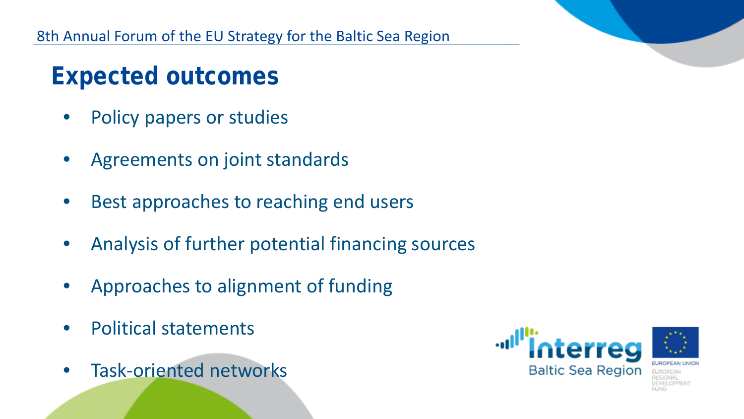### **Expected outcomes**

- Policy papers or studies
- Agreements on joint standards
- Best approaches to reaching end users
- Analysis of further potential financing sources
- Approaches to alignment of funding
- Political statements
- Task-oriented networks

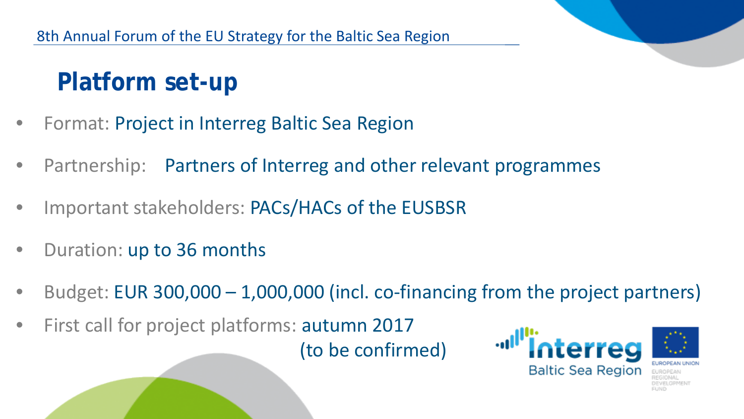## **Platform set-up**

- Format: Project in Interreg Baltic Sea Region
- Partnership: Partners of Interreg and other relevant programmes
- Important stakeholders: PACs/HACs of the EUSBSR
- Duration: up to 36 months
- Budget: EUR 300,000 1,000,000 (incl. co-financing from the project partners)
- First call for project platforms: autumn 2017 (to be confirmed)

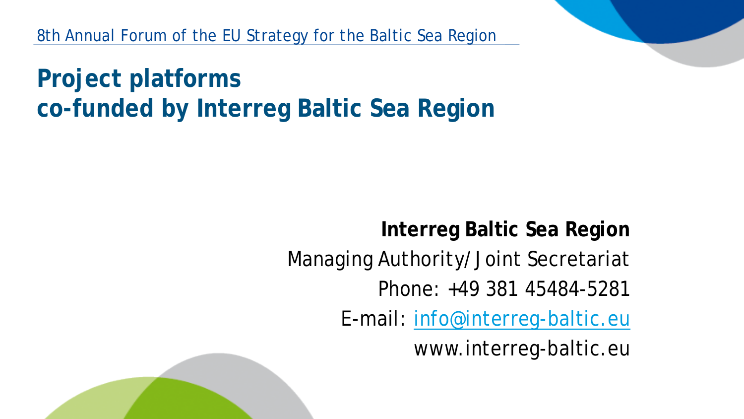**Project platforms co-funded by Interreg Baltic Sea Region**

> **Interreg Baltic Sea Region** Managing Authority/Joint Secretariat Phone: +49 381 45484-5281 E-mail: [info@interreg-baltic.eu](mailto:info@interreg-baltic.eu) www.interreg-baltic.eu